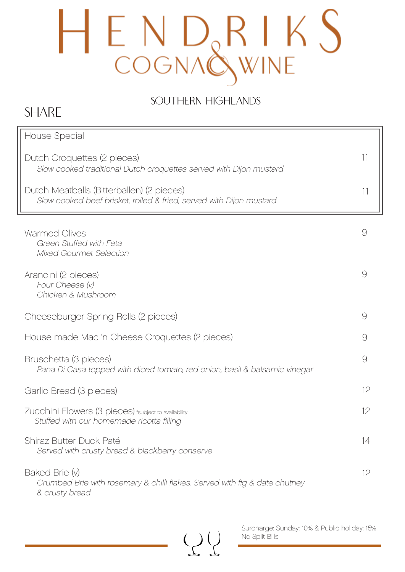### SOUTHERN HIGHLANDS

## **SHARE**

| House Special                                                                                                    |          |
|------------------------------------------------------------------------------------------------------------------|----------|
| Dutch Croquettes (2 pieces)<br>Slow cooked traditional Dutch croquettes served with Dijon mustard                | 11       |
| Dutch Meatballs (Bitterballen) (2 pieces)<br>Slow cooked beef brisket, rolled & fried, served with Dijon mustard | 11       |
| <b>Warmed Olives</b><br>Green Stuffed with Feta<br><b>Mixed Gourmet Selection</b>                                | 9        |
| Arancini (2 pieces)<br>Four Cheese (v)<br>Chicken & Mushroom                                                     | 9        |
| Cheeseburger Spring Rolls (2 pieces)                                                                             | $\Theta$ |
| House made Mac 'n Cheese Croquettes (2 pieces)                                                                   | 9        |
| Bruschetta (3 pieces)<br>Pana Di Casa topped with diced tomato, red onion, basil & balsamic vinegar              | 9        |
| Garlic Bread (3 pieces)                                                                                          | 12       |
| Zucchini Flowers (3 pieces) *subject to availability<br>Stuffed with our homemade ricotta filling                | 12       |
| Shiraz Butter Duck Paté<br>Served with crusty bread & blackberry conserve                                        | 14       |
| Baked Brie (v)<br>Crumbed Brie with rosemary & chilli flakes. Served with fig & date chutney<br>& crusty bread   | 12       |

 $\left(\begin{smallmatrix} 1 \\ 1 \end{smallmatrix}\right)$ 

Surcharge: Sunday: 10% & Public holiday: 15% No Split Bills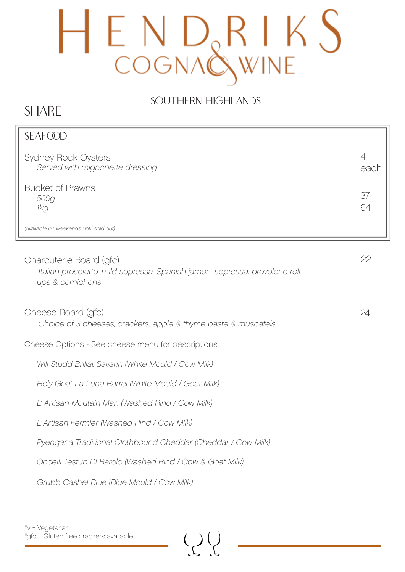### SOUTHERN HIGHLANDS

## **SHARE**

| <b>SEAFCOD</b>                                                                                                            |           |
|---------------------------------------------------------------------------------------------------------------------------|-----------|
| <b>Sydney Rock Oysters</b><br>Served with mignonette dressing                                                             | 4<br>each |
| <b>Bucket of Prawns</b><br>500g<br>1kg                                                                                    | 37<br>64  |
| (Available on weekends until sold out)                                                                                    |           |
| Charcuterie Board (gfc)<br>Italian prosciutto, mild sopressa, Spanish jamon, sopressa, provolone roll<br>ups & cornichons | 22        |
| Cheese Board (gfc)<br>Choice of 3 cheeses, crackers, apple & thyme paste & muscatels                                      | 24        |
| Cheese Options - See cheese menu for descriptions                                                                         |           |
| Will Studd Brillat Savarin (White Mould / Cow Milk)                                                                       |           |
| Holy Goat La Luna Barrel (White Mould / Goat Milk)                                                                        |           |
| L' Artisan Moutain Man (Washed Rind / Cow Milk)                                                                           |           |
| L'Artisan Fermier (Washed Rind / Cow Milk)                                                                                |           |
| Pyengana Traditional Clothbound Cheddar (Cheddar / Cow Milk)                                                              |           |
| Occelli Testun Di Barolo (Washed Rind / Cow & Goat Milk)                                                                  |           |
| Grubb Cashel Blue (Blue Mould / Cow Milk)                                                                                 |           |
|                                                                                                                           |           |

 $\left(\begin{smallmatrix} 1 \\ 2 \end{smallmatrix}\right)$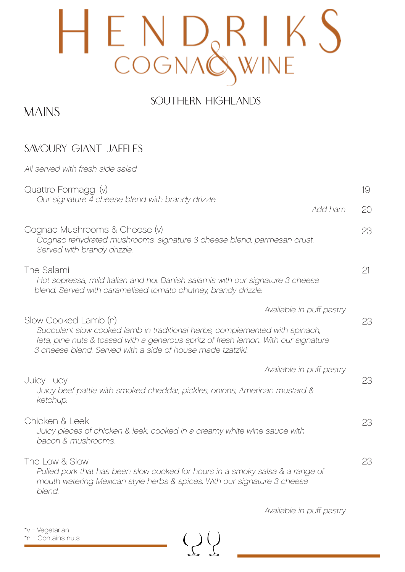### SOUTHERN HIGHLANDS

## **MAINS**

### SAVOURY GIANT JAFFLES

| All served with fresh side salad                                                                                                                                                                                                                        |                          |    |
|---------------------------------------------------------------------------------------------------------------------------------------------------------------------------------------------------------------------------------------------------------|--------------------------|----|
| Quattro Formaggi (v)                                                                                                                                                                                                                                    |                          | 19 |
| Our signature 4 cheese blend with brandy drizzle.                                                                                                                                                                                                       | Add ham                  | 20 |
| Cognac Mushrooms & Cheese (v)<br>Cognac rehydrated mushrooms, signature 3 cheese blend, parmesan crust.<br>Served with brandy drizzle.                                                                                                                  |                          | 23 |
| The Salami<br>Hot sopressa, mild Italian and hot Danish salamis with our signature 3 cheese<br>blend. Served with caramelised tomato chutney, brandy drizzle.                                                                                           |                          | 21 |
|                                                                                                                                                                                                                                                         | Available in puff pastry |    |
| Slow Cooked Lamb (n)<br>Succulent slow cooked lamb in traditional herbs, complemented with spinach,<br>feta, pine nuts & tossed with a generous spritz of fresh lemon. With our signature<br>3 cheese blend. Served with a side of house made tzatziki. |                          | 23 |
|                                                                                                                                                                                                                                                         | Available in puff pastry |    |
| <b>Juicy Lucy</b><br>Juicy beef pattie with smoked cheddar, pickles, onions, American mustard &<br>ketchup.                                                                                                                                             |                          | 23 |
| Chicken & Leek<br>Juicy pieces of chicken & leek, cooked in a creamy white wine sauce with<br>bacon & mushrooms.                                                                                                                                        |                          | 23 |
| The Low & Slow<br>Pulled pork that has been slow cooked for hours in a smoky salsa & a range of<br>mouth watering Mexican style herbs & spices. With our signature 3 cheese<br>blend.                                                                   |                          | 23 |

 $\left(\begin{smallmatrix} 1 \\ 1 \end{smallmatrix}\right)$ 

Available in puff pastry

\*v = Vegetarian \*n = Contains nuts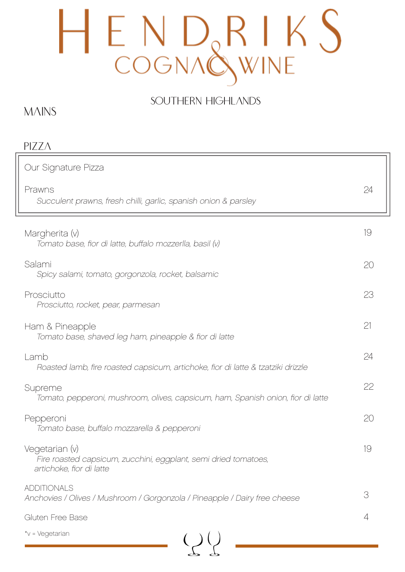### SOUTHERN HIGHLANDS

### **MAINS**

| PIZZA                                                                                                         |    |
|---------------------------------------------------------------------------------------------------------------|----|
| Our Signature Pizza                                                                                           |    |
| Prawns<br>Succulent prawns, fresh chilli, garlic, spanish onion & parsley                                     | 24 |
| Margherita (v)<br>Tomato base, fior di latte, buffalo mozzerlla, basil (v)                                    | 19 |
| Salami<br>Spicy salami, tomato, gorgonzola, rocket, balsamic                                                  | 20 |
| Prosciutto<br>Prosciutto, rocket, pear, parmesan                                                              | 23 |
| Ham & Pineapple<br>Tomato base, shaved leg ham, pineapple & fior di latte                                     | 21 |
| Lamb<br>Roasted lamb, fire roasted capsicum, artichoke, fior di latte & tzatziki drizzle                      | 24 |
| Supreme<br>Tomato, pepperoni, mushroom, olives, capsicum, ham, Spanish onion, fior di latte                   | 22 |
| Pepperoni<br>Tomato base, buffalo mozzarella & pepperoni                                                      | 20 |
| Vegetarian (v)<br>Fire roasted capsicum, zucchini, eggplant, semi dried tomatoes,<br>artichoke, fior di latte | 19 |
| <b>ADDITIONALS</b><br>Anchovies / Olives / Mushroom / Gorgonzola / Pineapple / Dairy free cheese              | 3  |
| Gluten Free Base                                                                                              | 4  |
| *v = Vegetarian                                                                                               |    |

 $22$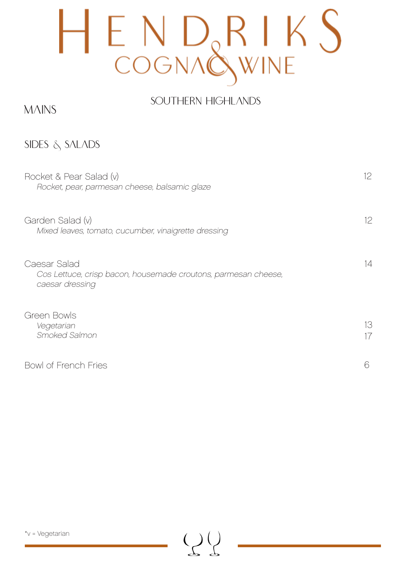### SOUTHERN HIGHLANDS

#### **MAINS**

SIDES & SALADS

| Rocket & Pear Salad (v)<br>Rocket, pear, parmesan cheese, balsamic glaze                          | 12 <sup>°</sup> |
|---------------------------------------------------------------------------------------------------|-----------------|
| Garden Salad (v)<br>Mixed leaves, tomato, cucumber, vinaigrette dressing                          | 12              |
| Caesar Salad<br>Cos Lettuce, crisp bacon, housemade croutons, parmesan cheese,<br>caesar dressing | 14              |
| Green Bowls<br>Vegetarian<br>Smoked Salmon                                                        | 13<br>17        |
| <b>Bowl of French Fries</b>                                                                       | 6               |

 $\left(\begin{smallmatrix} 1 \\ 1 \end{smallmatrix}\right)$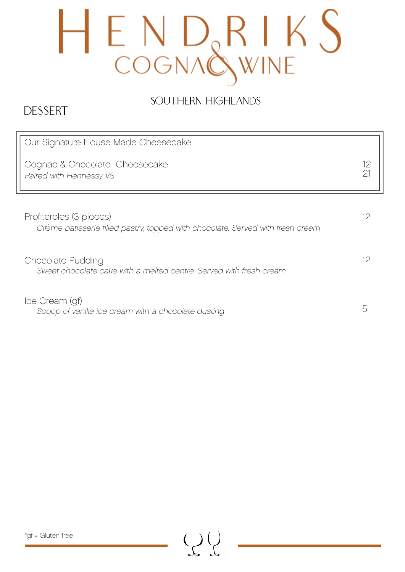## SOUTHERN HIGHLANDS

## DESSERT

| Our Signature House Made Cheesecake                                                                       |          |
|-----------------------------------------------------------------------------------------------------------|----------|
| Cognac & Chocolate Cheesecake<br>Paired with Hennessy VS                                                  | 12<br>21 |
|                                                                                                           |          |
| Profiteroles (3 pieces)<br>Créme patisserie filled pastry, topped with chocolate. Served with fresh cream | 12       |
| Chocolate Pudding<br>Sweet chocolate cake with a melted centre. Served with fresh cream                   |          |
|                                                                                                           |          |
| Ice Cream (gf)<br>Scoop of vanilla ice cream with a chocolate dusting                                     |          |

 $Q$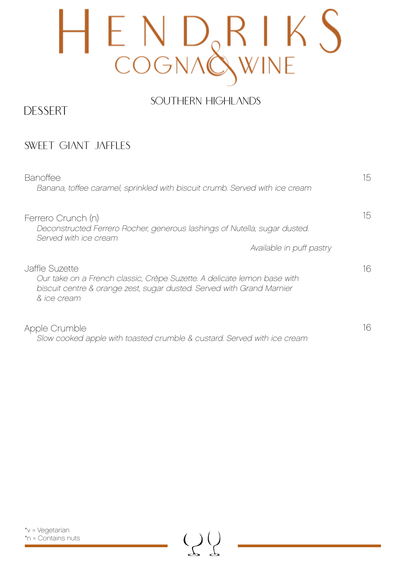### SOUTHERN HIGHLANDS

#### DESSERT

#### SWEET GIANT JAFFLES

| <b>Banoffee</b><br>Banana, toffee caramel, sprinkled with biscuit crumb. Served with ice cream                                                                                    | 15 |
|-----------------------------------------------------------------------------------------------------------------------------------------------------------------------------------|----|
| Ferrero Crunch (n)<br>Deconstructed Ferrero Rocher, generous lashings of Nutella, sugar dusted.<br>Served with ice cream<br>Available in puff pastry                              | 15 |
| Jaffle Suzette<br>Our take on a French classic, Crêpe Suzette. A delicate lemon base with<br>biscuit centre & orange zest, sugar dusted. Served with Grand Marnier<br>& ice cream | 16 |
| Apple Crumble<br>Slow cooked apple with toasted crumble & custard. Served with ice cream                                                                                          | 16 |

 $\bigcup$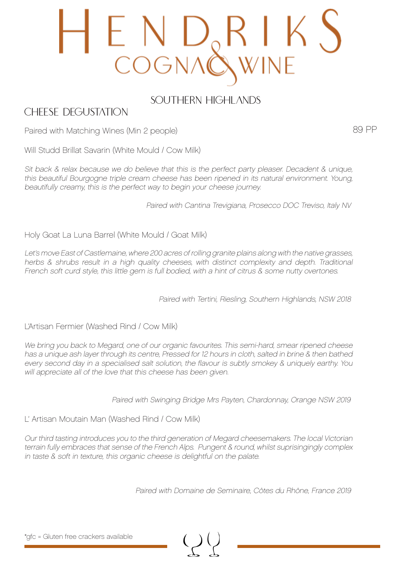## E N D<br>COGNA

#### SOUTHERN HIGHLANDS

#### CHEESE DEGUSTATION

89 PP

Paired with Matching Wines (Min 2 people)

Will Studd Brillat Savarin (White Mould / Cow Milk)

Sit back & relax because we do believe that this is the perfect party pleaser. Decadent & unique, this beautiful Bourgogne triple cream cheese has been ripened in its natural environment. Young, beautifully creamy, this is the perfect way to begin your cheese journey.

Paired with Cantina Trevigiana, Prosecco DOC Treviso, Italy NV

Holy Goat La Luna Barrel (White Mould / Goat Milk)

Let's move East of Castlemaine, where 200 acres of rolling granite plains along with the native grasses, herbs & shrubs result in a high quality cheeses, with distinct complexity and depth. Traditional French soft curd style, this little gem is full bodied, with a hint of citrus & some nutty overtones.

Paired with Tertini, Riesling, Southern Highlands, NSW 2018

L'Artisan Fermier (Washed Rind / Cow Milk)

We bring you back to Megard, one of our organic favourites. This semi-hard, smear ripened cheese has a unique ash layer through its centre, Pressed for 12 hours in cloth, salted in brine & then bathed every second day in a specialised salt solution, the flavour is subtly smokey & uniquely earthy. You will appreciate all of the love that this cheese has been given.

Paired with Swinging Bridge Mrs Payten, Chardonnay, Orange NSW 2019

L' Artisan Moutain Man (Washed Rind / Cow Milk)

Our third tasting introduces you to the third generation of Megard cheesemakers. The local Victorian terrain fully embraces that sense of the French Alps. Pungent & round, whilst suprisingingly complex in taste & soft in texture, this organic cheese is delightful on the palate.

Paired with Domaine de Seminaire, Côtes du Rhône, France 2019